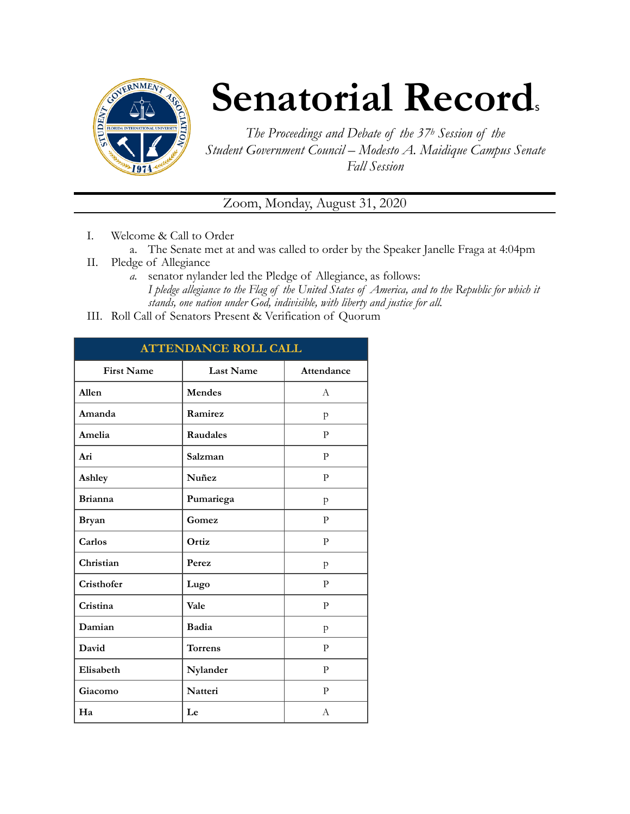

## **Senatorial Records**

*The Proceedings and Debate of the 37h Session of the Student Government Council – Modesto A. Maidique Campus Senate Fall Session* 

Zoom, Monday, August 31, 2020

- I. Welcome & Call to Order
	- a. The Senate met at and was called to order by the Speaker Janelle Fraga at 4:04pm
- II. Pledge of Allegiance
	- *a.* senator nylander led the Pledge of Allegiance, as follows: *I pledge allegiance to the Flag of the United States of America, and to the Republic for which it stands, one nation under God, indivisible, with liberty and justice for all.*
- III. Roll Call of Senators Present & Verification of Quorum

| <b>ATTENDANCE ROLL CALL</b> |                 |                |  |
|-----------------------------|-----------------|----------------|--|
| <b>First Name</b>           | Last Name       | Attendance     |  |
| Allen                       | Mendes          | $\overline{A}$ |  |
| Amanda                      | Ramirez         | p              |  |
| Amelia                      | <b>Raudales</b> | P              |  |
| Ari                         | Salzman         | P              |  |
| Ashley                      | Nuñez           | P              |  |
| <b>Brianna</b>              | Pumariega       | p              |  |
| <b>Bryan</b>                | Gomez           | P              |  |
| Carlos                      | Ortiz           | P              |  |
| Christian                   | Perez           | p              |  |
| Cristhofer                  | Lugo            | P              |  |
| Cristina                    | Vale            | P              |  |
| Damian                      | Badia           | p              |  |
| David                       | <b>Torrens</b>  | P              |  |
| Elisabeth                   | Nylander        | P              |  |
| Giacomo                     | <b>Natteri</b>  | P              |  |
| Ha                          | Le              | A              |  |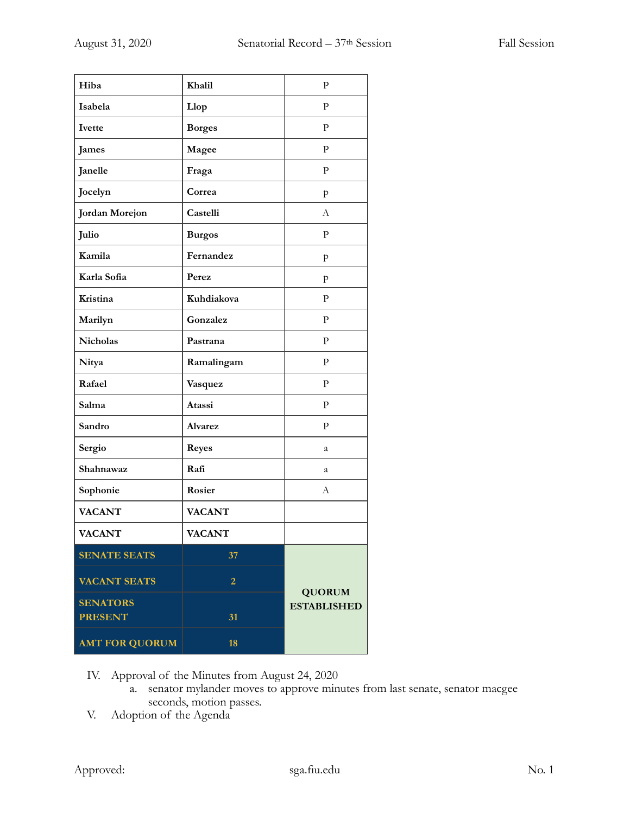| Hiba                  | Khalil         | $\mathbf{P}$                        |
|-----------------------|----------------|-------------------------------------|
| Isabela               | Llop           | $\mathbf{P}$                        |
| Ivette                | <b>Borges</b>  | $\mathbf{P}$                        |
| <b>James</b>          | Magee          | $\mathbf{P}$                        |
| Janelle               | Fraga          | ${\bf P}$                           |
| Jocelyn               | Correa         | p                                   |
| Jordan Morejon        | Castelli       | А                                   |
| Julio                 | <b>Burgos</b>  | $\mathbf{P}$                        |
| Kamila                | Fernandez      | p                                   |
| Karla Sofia           | Perez          | p                                   |
| Kristina              | Kuhdiakova     | P                                   |
| Marilyn               | Gonzalez       | $\mathbf{P}$                        |
| Nicholas              | Pastrana       | ${\bf P}$                           |
| Nitya                 | Ramalingam     | $\mathbf{P}$                        |
| Rafael                | Vasquez        | $\mathbf{P}$                        |
| Salma                 | Atassi         | ${\bf P}$                           |
| Sandro                | <b>Alvarez</b> | ${\bf P}$                           |
| Sergio                | <b>Reyes</b>   | a                                   |
| Shahnawaz             | Rafi           | a                                   |
| Sophonie              | Rosier         | А                                   |
| <b>VACANT</b>         | <b>VACANT</b>  |                                     |
| <b>VACANT</b>         | <b>VACANT</b>  |                                     |
| <b>SENATE SEATS</b>   | 37             |                                     |
| <b>VACANT SEATS</b>   | $\overline{2}$ |                                     |
| <b>SENATORS</b>       |                | <b>QUORUM</b><br><b>ESTABLISHED</b> |
| <b>PRESENT</b>        | 31             |                                     |
| <b>AMT FOR QUORUM</b> | 18             |                                     |

IV. Approval of the Minutes from August 24, 2020

- a. senator mylander moves to approve minutes from last senate, senator macgee seconds, motion passes.
- V. Adoption of the Agenda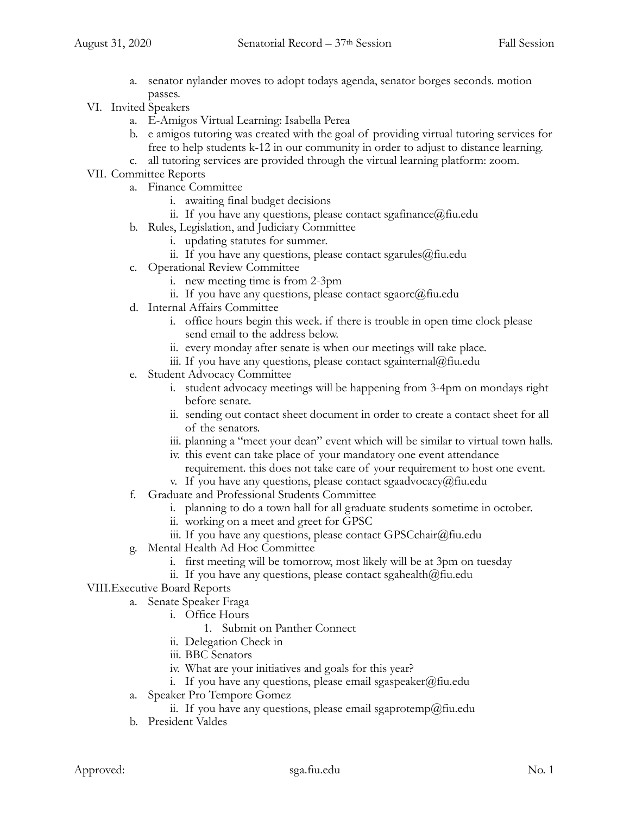- a. senator nylander moves to adopt todays agenda, senator borges seconds. motion passes.
- VI. Invited Speakers
	- a. E-Amigos Virtual Learning: Isabella Perea
	- b. e amigos tutoring was created with the goal of providing virtual tutoring services for free to help students k-12 in our community in order to adjust to distance learning.
	- c. all tutoring services are provided through the virtual learning platform: zoom.
- VII. Committee Reports
	- a. Finance Committee
		- i. awaiting final budget decisions
		- ii. If you have any questions, please contact sgafinance  $(a)$  fiu.edu
	- b. Rules, Legislation, and Judiciary Committee
		- i. updating statutes for summer.
		- ii. If you have any questions, please contact sgarules@fiu.edu
	- c. Operational Review Committee
		- i. new meeting time is from 2-3pm
		- ii. If you have any questions, please contact sgaorc $@$ fiu.edu
	- d. Internal Affairs Committee
		- i. office hours begin this week. if there is trouble in open time clock please send email to the address below.
		- ii. every monday after senate is when our meetings will take place.
		- iii. If you have any questions, please contact sgainternal@fiu.edu
	- e. Student Advocacy Committee
		- i. student advocacy meetings will be happening from 3-4pm on mondays right before senate.
		- ii. sending out contact sheet document in order to create a contact sheet for all of the senators.
		- iii. planning a "meet your dean" event which will be similar to virtual town halls.
		- iv. this event can take place of your mandatory one event attendance requirement. this does not take care of your requirement to host one event.
		- v. If you have any questions, please contact sgaadvocacy@fiu.edu
	- f. Graduate and Professional Students Committee
		- i. planning to do a town hall for all graduate students sometime in october.
		- ii. working on a meet and greet for GPSC
		- iii. If you have any questions, please contact GPSCchair@fiu.edu
	- g. Mental Health Ad Hoc Committee
		- i. first meeting will be tomorrow, most likely will be at 3pm on tuesday
		- ii. If you have any questions, please contact sgahealth $@$ fiu.edu
- VIII.Executive Board Reports
	- a. Senate Speaker Fraga
		- i. Office Hours
			- 1. Submit on Panther Connect
		- ii. Delegation Check in
		- iii. BBC Senators
		- iv. What are your initiatives and goals for this year?
		- i. If you have any questions, please email sgaspeaker@fiu.edu
	- a. Speaker Pro Tempore Gomez
		- ii. If you have any questions, please email sgaprotemp@fiu.edu
	- b. President Valdes